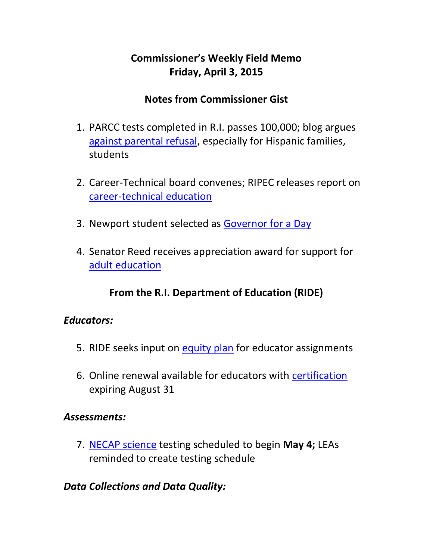# **Commissioner's Weekly Field Memo Friday, April 3, 2015**

### **Notes from Commissioner Gist**

- 1. PARCC tests completed in R.I. passes 100,000; blog argues [against parental refusal,](#page-2-0) especially for Hispanic families, students
- 2. Career-Technical board convenes; RIPEC releases report on [career-technical education](#page-2-1)
- 3. Newport student selected as [Governor for a Day](#page-2-1)
- 4. Senator Reed receives appreciation award for support for [adult education](#page-9-0)

## **From the R.I. Department of Education (RIDE)**

### *Educators:*

- 5. RIDE seeks input on [equity plan](#page-9-1) for educator assignments
- 6. Online renewal available for educators with [certification](#page-10-0) expiring August 31

### *Assessments:*

7. [NECAP science](#page-11-0) testing scheduled to begin **May 4;** LEAs reminded to create testing schedule

### *Data Collections and Data Quality:*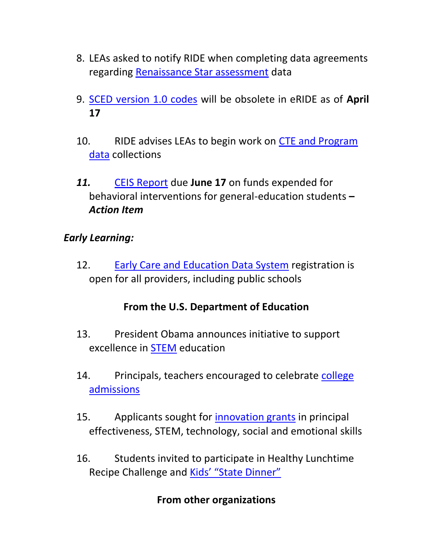- 8. LEAs asked to notify RIDE when completing data agreements regarding [Renaissance Star assessment](#page-12-0) data
- 9. [SCED version 1.0 codes](#page-13-0) will be obsolete in eRIDE as of **April 17**
- 10. RIDE advises LEAs to begin work on [CTE and Program](#page-2-1)  [data](#page-2-1) collections
- *11.* [CEIS Report](#page-13-1) due **June 17** on funds expended for behavioral interventions for general-education students **–** *Action Item*

### *Early Learning:*

12. [Early Care and Education Data System](#page-14-0) registration is open for all providers, including public schools

## **From the U.S. Department of Education**

- 13. President Obama announces initiative to support excellence in [STEM](#page-15-0) education
- 14. Principals, teachers encouraged to celebrate college [admissions](#page-16-0)
- 15. Applicants sought for [innovation grants](#page-16-1) in principal effectiveness, STEM, technology, social and emotional skills
- 16. Students invited to participate in Healthy Lunchtime Recipe Challenge and [Kids' "State Dinner"](#page-17-0)

### **From other organizations**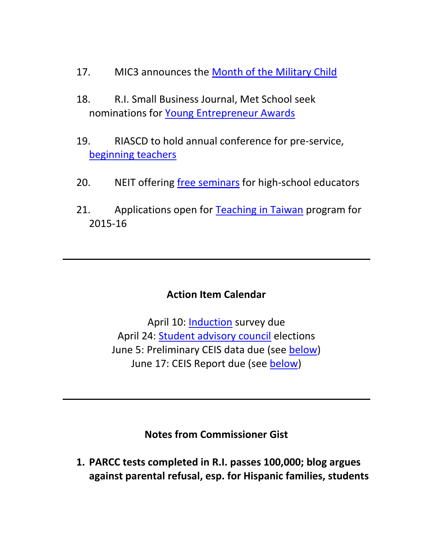- 17. MIC3 announces the [Month of the Military Child](#page-18-0)
- 18. R.I. Small Business Journal, Met School seek nominations for [Young Entrepreneur Awards](#page-18-1)
- 19. RIASCD to hold annual conference for pre-service, [beginning teachers](#page-20-0)
- 20. NEIT offering [free seminars](#page-21-0) for high-school educators
- 21. Applications open for [Teaching in Taiwan](#page-24-0) program for 2015-16

### **Action Item Calendar**

April 10: [Induction](http://www.ride.ri.gov/InsideRIDE/CommissionerDeborahAGist/FieldMemos.aspx) survey due April 24: [Student advisory council](http://www.ride.ri.gov/Portals/0/Uploads/Documents/FieldMemos/032015-FM.pdf) elections June 5: Preliminary CEIS data due (see [below\)](#page-13-1) June 17: CEIS Report due (see [below\)](#page-13-1)

**Notes from Commissioner Gist**

<span id="page-2-1"></span><span id="page-2-0"></span>**1. PARCC tests completed in R.I. passes 100,000; blog argues against parental refusal, esp. for Hispanic families, students**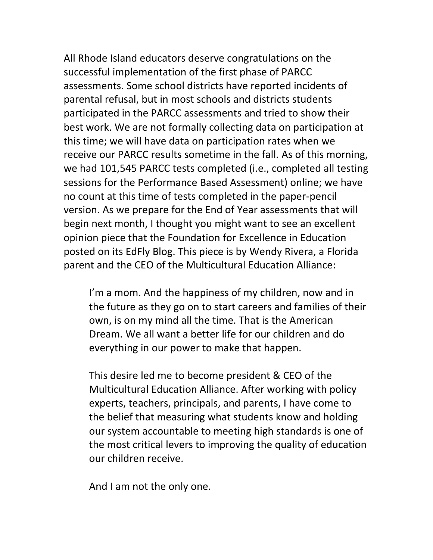All Rhode Island educators deserve congratulations on the successful implementation of the first phase of PARCC assessments. Some school districts have reported incidents of parental refusal, but in most schools and districts students participated in the PARCC assessments and tried to show their best work. We are not formally collecting data on participation at this time; we will have data on participation rates when we receive our PARCC results sometime in the fall. As of this morning, we had 101,545 PARCC tests completed (i.e., completed all testing sessions for the Performance Based Assessment) online; we have no count at this time of tests completed in the paper-pencil version. As we prepare for the End of Year assessments that will begin next month, I thought you might want to see an excellent opinion piece that the Foundation for Excellence in Education posted on its EdFly Blog. This piece is by Wendy Rivera, a Florida parent and the CEO of the Multicultural Education Alliance:

I'm a mom. And the happiness of my children, now and in the future as they go on to start careers and families of their own, is on my mind all the time. That is the American Dream. We all want a better life for our children and do everything in our power to make that happen.

This desire led me to become president & CEO of the Multicultural Education Alliance. After working with policy experts, teachers, principals, and parents, I have come to the belief that measuring what students know and holding our system accountable to meeting high standards is one of the most critical levers to improving the quality of education our children receive.

And I am not the only one.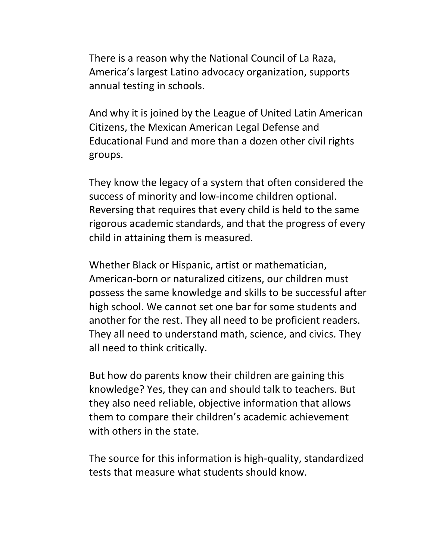There is a reason why the National Council of La Raza, America's largest Latino advocacy organization, supports annual testing in schools.

And why it is joined by the League of United Latin American Citizens, the Mexican American Legal Defense and Educational Fund and more than a dozen other civil rights groups.

They know the legacy of a system that often considered the success of minority and low-income children optional. Reversing that requires that every child is held to the same rigorous academic standards, and that the progress of every child in attaining them is measured.

Whether Black or Hispanic, artist or mathematician, American-born or naturalized citizens, our children must possess the same knowledge and skills to be successful after high school. We cannot set one bar for some students and another for the rest. They all need to be proficient readers. They all need to understand math, science, and civics. They all need to think critically.

But how do parents know their children are gaining this knowledge? Yes, they can and should talk to teachers. But they also need reliable, objective information that allows them to compare their children's academic achievement with others in the state.

The source for this information is high-quality, standardized tests that measure what students should know.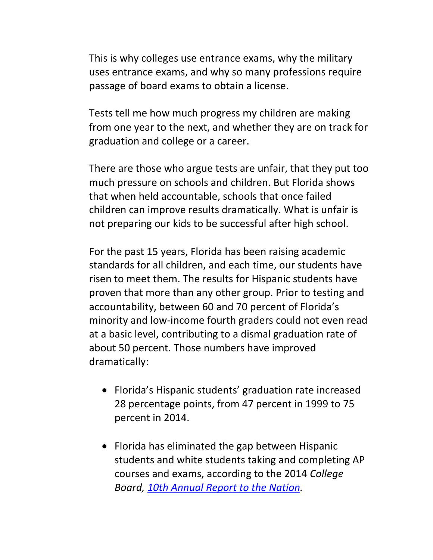This is why colleges use entrance exams, why the military uses entrance exams, and why so many professions require passage of board exams to obtain a license.

Tests tell me how much progress my children are making from one year to the next, and whether they are on track for graduation and college or a career.

There are those who argue tests are unfair, that they put too much pressure on schools and children. But Florida shows that when held accountable, schools that once failed children can improve results dramatically. What is unfair is not preparing our kids to be successful after high school.

For the past 15 years, Florida has been raising academic standards for all children, and each time, our students have risen to meet them. The results for Hispanic students have proven that more than any other group. Prior to testing and accountability, between 60 and 70 percent of Florida's minority and low-income fourth graders could not even read at a basic level, contributing to a dismal graduation rate of about 50 percent. Those numbers have improved dramatically:

- Florida's Hispanic students' graduation rate increased 28 percentage points, from 47 percent in 1999 to 75 percent in 2014.
- Florida has eliminated the gap between Hispanic students and white students taking and completing AP courses and exams, according to the 2014 *College Board, [10th Annual Report to the Nation.](http://media.collegeboard.com/digitalServices/pdf/ap/rtn/10th-annual/10th-annual-ap-report-state-supplement-florida.pdf)*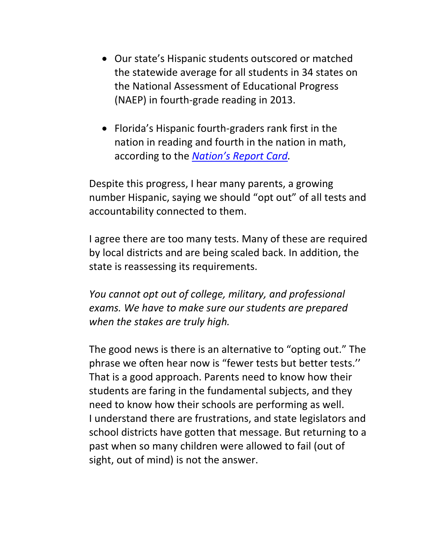- Our state's Hispanic students outscored or matched the statewide average for all students in 34 states on the National Assessment of Educational Progress (NAEP) in fourth-grade reading in 2013.
- Florida's Hispanic fourth-graders rank first in the nation in reading and fourth in the nation in math, according to the *[Nation's Report Card](http://nces.ed.gov/nationsreportcard/naepdata/dataset.aspx).*

Despite this progress, I hear many parents, a growing number Hispanic, saying we should "opt out" of all tests and accountability connected to them.

I agree there are too many tests. Many of these are required by local districts and are being scaled back. In addition, the state is reassessing its requirements.

*You cannot opt out of college, military, and professional exams. We have to make sure our students are prepared when the stakes are truly high.*

The good news is there is an alternative to "opting out." The phrase we often hear now is "fewer tests but better tests.'' That is a good approach. Parents need to know how their students are faring in the fundamental subjects, and they need to know how their schools are performing as well. I understand there are frustrations, and state legislators and school districts have gotten that message. But returning to a past when so many children were allowed to fail (out of sight, out of mind) is not the answer.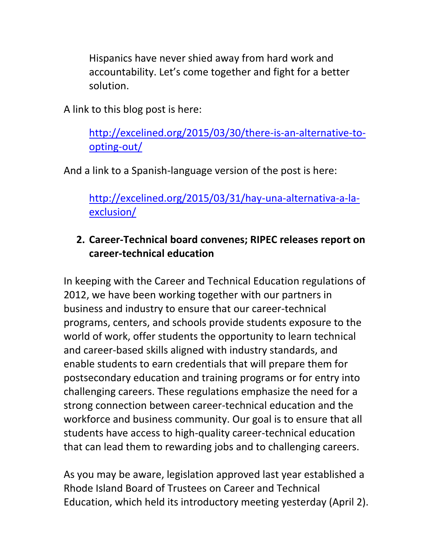Hispanics have never shied away from hard work and accountability. Let's come together and fight for a better solution.

A link to this blog post is here:

[http://excelined.org/2015/03/30/there-is-an-alternative-to](http://excelined.org/2015/03/30/there-is-an-alternative-to-opting-out/)[opting-out/](http://excelined.org/2015/03/30/there-is-an-alternative-to-opting-out/)

And a link to a Spanish-language version of the post is here:

[http://excelined.org/2015/03/31/hay-una-alternativa-a-la](http://excelined.org/2015/03/31/hay-una-alternativa-a-la-exclusion/)[exclusion/](http://excelined.org/2015/03/31/hay-una-alternativa-a-la-exclusion/)

# **2. Career-Technical board convenes; RIPEC releases report on career-technical education**

In keeping with the Career and Technical Education regulations of 2012, we have been working together with our partners in business and industry to ensure that our career-technical programs, centers, and schools provide students exposure to the world of work, offer students the opportunity to learn technical and career-based skills aligned with industry standards, and enable students to earn credentials that will prepare them for postsecondary education and training programs or for entry into challenging careers. These regulations emphasize the need for a strong connection between career-technical education and the workforce and business community. Our goal is to ensure that all students have access to high-quality career-technical education that can lead them to rewarding jobs and to challenging careers.

As you may be aware, legislation approved last year established a Rhode Island Board of Trustees on Career and Technical Education, which held its introductory meeting yesterday (April 2).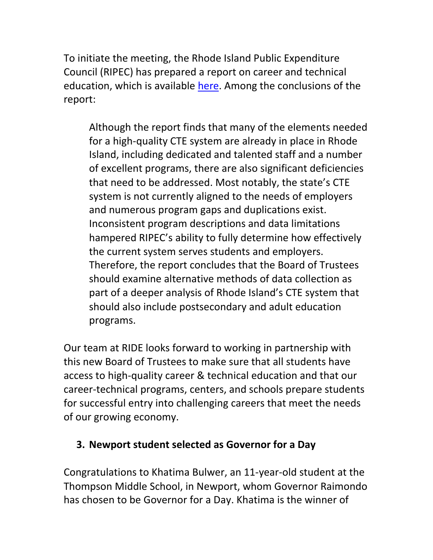To initiate the meeting, the Rhode Island Public Expenditure Council (RIPEC) has prepared a report on career and technical education, which is available [here.](http://www.ripec.org/pdfs/2015-CTE.pdf) Among the conclusions of the report:

Although the report finds that many of the elements needed for a high-quality CTE system are already in place in Rhode Island, including dedicated and talented staff and a number of excellent programs, there are also significant deficiencies that need to be addressed. Most notably, the state's CTE system is not currently aligned to the needs of employers and numerous program gaps and duplications exist. Inconsistent program descriptions and data limitations hampered RIPEC's ability to fully determine how effectively the current system serves students and employers. Therefore, the report concludes that the Board of Trustees should examine alternative methods of data collection as part of a deeper analysis of Rhode Island's CTE system that should also include postsecondary and adult education programs.

Our team at RIDE looks forward to working in partnership with this new Board of Trustees to make sure that all students have access to high-quality career & technical education and that our career-technical programs, centers, and schools prepare students for successful entry into challenging careers that meet the needs of our growing economy.

## **3. Newport student selected as Governor for a Day**

Congratulations to Khatima Bulwer, an 11-year-old student at the Thompson Middle School, in Newport, whom Governor Raimondo has chosen to be Governor for a Day. Khatima is the winner of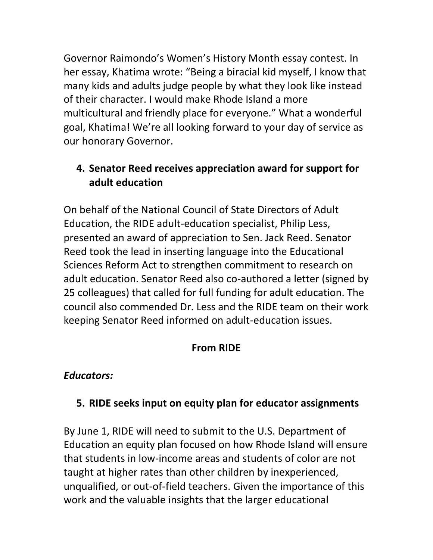Governor Raimondo's Women's History Month essay contest. In her essay, Khatima wrote: "Being a biracial kid myself, I know that many kids and adults judge people by what they look like instead of their character. I would make Rhode Island a more multicultural and friendly place for everyone." What a wonderful goal, Khatima! We're all looking forward to your day of service as our honorary Governor.

## <span id="page-9-0"></span>**4. Senator Reed receives appreciation award for support for adult education**

On behalf of the National Council of State Directors of Adult Education, the RIDE adult-education specialist, Philip Less, presented an award of appreciation to Sen. Jack Reed. Senator Reed took the lead in inserting language into the Educational Sciences Reform Act to strengthen commitment to research on adult education. Senator Reed also co-authored a letter (signed by 25 colleagues) that called for full funding for adult education. The council also commended Dr. Less and the RIDE team on their work keeping Senator Reed informed on adult-education issues.

## **From RIDE**

### *Educators:*

## <span id="page-9-1"></span>**5. RIDE seeks input on equity plan for educator assignments**

By June 1, RIDE will need to submit to the U.S. Department of Education an equity plan focused on how Rhode Island will ensure that students in low-income areas and students of color are not taught at higher rates than other children by inexperienced, unqualified, or out-of-field teachers. Given the importance of this work and the valuable insights that the larger educational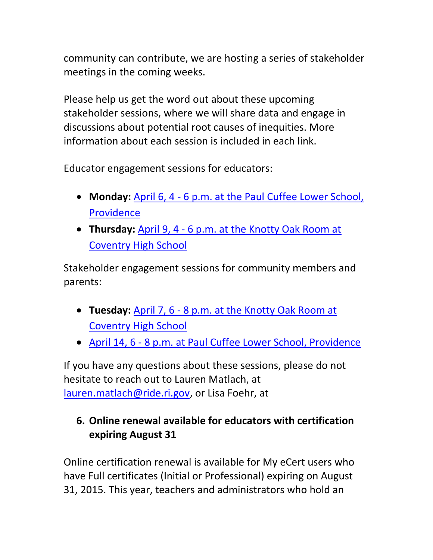community can contribute, we are hosting a series of stakeholder meetings in the coming weeks.

Please help us get the word out about these upcoming stakeholder sessions, where we will share data and engage in discussions about potential root causes of inequities. More information about each session is included in each link.

Educator engagement sessions for educators:

- **Monday:** April 6, 4 [6 p.m. at the Paul Cuffee Lower School,](https://www.eventbrite.com/e/rhode-island-equity-plan-educator-engagement-session-tickets-16222472853)  [Providence](https://www.eventbrite.com/e/rhode-island-equity-plan-educator-engagement-session-tickets-16222472853)
- **Thursday:** April 9, 4 [6 p.m. at the Knotty Oak Room at](https://www.eventbrite.com/e/rhode-island-equity-plan-educator-engagement-session-tickets-16377993018)  [Coventry High School](https://www.eventbrite.com/e/rhode-island-equity-plan-educator-engagement-session-tickets-16377993018)

Stakeholder engagement sessions for community members and parents:

- **Tuesday:** April 7, 6 [8 p.m. at the Knotty Oak Room at](https://www.eventbrite.com/e/rhode-island-equity-plan-community-engagement-session-tickets-16384232681)  [Coventry High School](https://www.eventbrite.com/e/rhode-island-equity-plan-community-engagement-session-tickets-16384232681)
- April 14, 6 [8 p.m. at Paul Cuffee Lower School, Providence](https://www.eventbrite.com/e/rhode-island-equity-plan-community-engagement-session-tickets-16377930832)

If you have any questions about these sessions, please do not hesitate to reach out to Lauren Matlach, at [lauren.matlach@ride.ri.gov,](mailto:lauren.matlach@ride.ri.gov) or Lisa Foehr, at

# <span id="page-10-0"></span>**6. Online renewal available for educators with certification expiring August 31**

Online certification renewal is available for My eCert users who have Full certificates (Initial or Professional) expiring on August 31, 2015. This year, teachers and administrators who hold an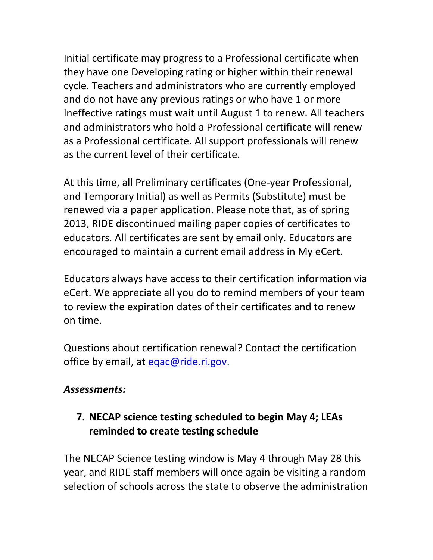Initial certificate may progress to a Professional certificate when they have one Developing rating or higher within their renewal cycle. Teachers and administrators who are currently employed and do not have any previous ratings or who have 1 or more Ineffective ratings must wait until August 1 to renew. All teachers and administrators who hold a Professional certificate will renew as a Professional certificate. All support professionals will renew as the current level of their certificate.

At this time, all Preliminary certificates (One-year Professional, and Temporary Initial) as well as Permits (Substitute) must be renewed via a paper application. Please note that, as of spring 2013, RIDE discontinued mailing paper copies of certificates to educators. All certificates are sent by email only. Educators are encouraged to maintain a current email address in My eCert.

Educators always have access to their certification information via eCert. We appreciate all you do to remind members of your team to review the expiration dates of their certificates and to renew on time.

Questions about certification renewal? Contact the certification office by email, at [eqac@ride.ri.gov.](mailto:eqac@ride.ri.gov)

### *Assessments:*

## <span id="page-11-0"></span>**7. NECAP science testing scheduled to begin May 4; LEAs reminded to create testing schedule**

The NECAP Science testing window is May 4 through May 28 this year, and RIDE staff members will once again be visiting a random selection of schools across the state to observe the administration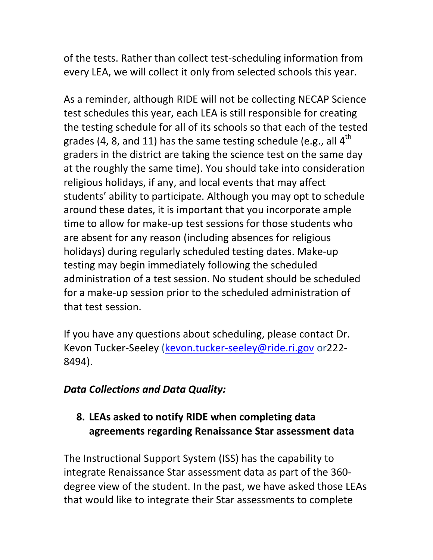of the tests. Rather than collect test-scheduling information from every LEA, we will collect it only from selected schools this year.

As a reminder, although RIDE will not be collecting NECAP Science test schedules this year, each LEA is still responsible for creating the testing schedule for all of its schools so that each of the tested grades (4, 8, and 11) has the same testing schedule (e.g., all  $4<sup>th</sup>$ graders in the district are taking the science test on the same day at the roughly the same time). You should take into consideration religious holidays, if any, and local events that may affect students' ability to participate. Although you may opt to schedule around these dates, it is important that you incorporate ample time to allow for make-up test sessions for those students who are absent for any reason (including absences for religious holidays) during regularly scheduled testing dates. Make-up testing may begin immediately following the scheduled administration of a test session. No student should be scheduled for a make-up session prior to the scheduled administration of that test session.

If you have any questions about scheduling, please contact Dr. Kevon Tucker-Seeley [\(kevon.tucker-seeley@ride.ri.gov](mailto:kevon.tucker-seeley@ride.ri.gov) or222- 8494).

## *Data Collections and Data Quality:*

# <span id="page-12-0"></span>**8. LEAs asked to notify RIDE when completing data agreements regarding Renaissance Star assessment data**

The Instructional Support System (ISS) has the capability to integrate Renaissance Star assessment data as part of the 360 degree view of the student. In the past, we have asked those LEAs that would like to integrate their Star assessments to complete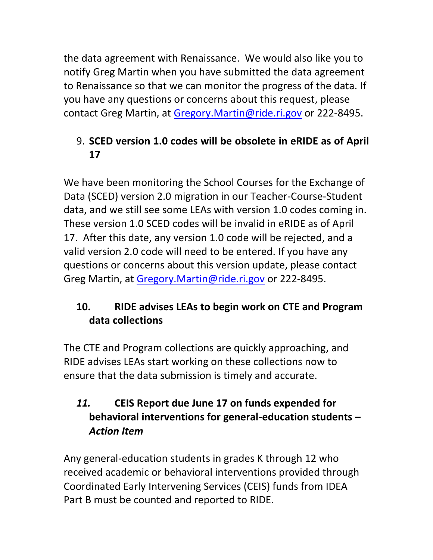the data agreement with Renaissance. We would also like you to notify Greg Martin when you have submitted the data agreement to Renaissance so that we can monitor the progress of the data. If you have any questions or concerns about this request, please contact Greg Martin, at [Gregory.Martin@ride.ri.gov](mailto:Gregory.Martin@ride.ri.gov) or 222-8495.

# <span id="page-13-0"></span>9. **SCED version 1.0 codes will be obsolete in eRIDE as of April 17**

We have been monitoring the School Courses for the Exchange of Data (SCED) version 2.0 migration in our Teacher-Course-Student data, and we still see some LEAs with version 1.0 codes coming in. These version 1.0 SCED codes will be invalid in eRIDE as of April 17. After this date, any version 1.0 code will be rejected, and a valid version 2.0 code will need to be entered. If you have any questions or concerns about this version update, please contact Greg Martin, at [Gregory.Martin@ride.ri.gov](mailto:Gregory.Martin@ride.ri.gov) or 222-8495.

# **10. RIDE advises LEAs to begin work on CTE and Program data collections**

The CTE and Program collections are quickly approaching, and RIDE advises LEAs start working on these collections now to ensure that the data submission is timely and accurate.

# <span id="page-13-1"></span>*11.* **CEIS Report due June 17 on funds expended for behavioral interventions for general-education students –** *Action Item*

Any general-education students in grades K through 12 who received academic or behavioral interventions provided through Coordinated Early Intervening Services (CEIS) funds from IDEA Part B must be counted and reported to RIDE.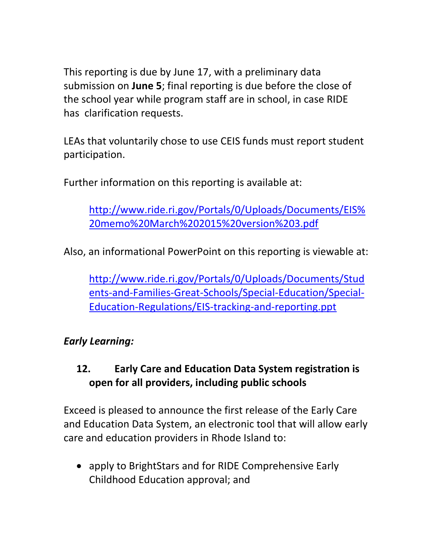This reporting is due by June 17, with a preliminary data submission on **June 5**; final reporting is due before the close of the school year while program staff are in school, in case RIDE has clarification requests.

LEAs that voluntarily chose to use CEIS funds must report student participation.

Further information on this reporting is available at:

[http://www.ride.ri.gov/Portals/0/Uploads/Documents/EIS%](http://www.ride.ri.gov/Portals/0/Uploads/Documents/EIS%20memo%20March%202015%20version%203.pdf) [20memo%20March%202015%20version%203.pdf](http://www.ride.ri.gov/Portals/0/Uploads/Documents/EIS%20memo%20March%202015%20version%203.pdf)

Also, an informational PowerPoint on this reporting is viewable at:

[http://www.ride.ri.gov/Portals/0/Uploads/Documents/Stud](http://www.ride.ri.gov/Portals/0/Uploads/Documents/Students-and-Families-Great-Schools/Special-Education/Special-Education-Regulations/EIS-tracking-and-reporting.ppt) [ents-and-Families-Great-Schools/Special-Education/Special-](http://www.ride.ri.gov/Portals/0/Uploads/Documents/Students-and-Families-Great-Schools/Special-Education/Special-Education-Regulations/EIS-tracking-and-reporting.ppt)[Education-Regulations/EIS-tracking-and-reporting.ppt](http://www.ride.ri.gov/Portals/0/Uploads/Documents/Students-and-Families-Great-Schools/Special-Education/Special-Education-Regulations/EIS-tracking-and-reporting.ppt)

## *Early Learning:*

# <span id="page-14-0"></span>**12. Early Care and Education Data System registration is open for all providers, including public schools**

Exceed is pleased to announce the first release of the Early Care and Education Data System, an electronic tool that will allow early care and education providers in Rhode Island to:

 apply to BrightStars and for RIDE Comprehensive Early Childhood Education approval; and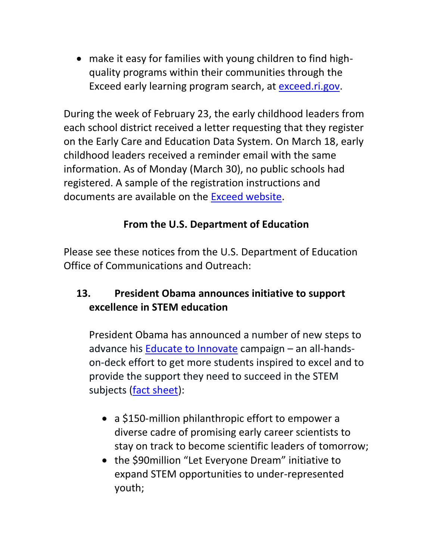make it easy for families with young children to find highquality programs within their communities through the Exceed early learning program search, at [exceed.ri.gov.](file:///C:/Users/mander/AppData/Local/Microsoft/Windows/Temporary%20Internet%20Files/Content.Outlook/TX2IY3UW/exceed.ri.gov)

During the week of February 23, the early childhood leaders from each school district received a letter requesting that they register on the Early Care and Education Data System. On March 18, early childhood leaders received a reminder email with the same information. As of Monday (March 30), no public schools had registered. A sample of the registration instructions and documents are available on the [Exceed website.](https://exceed.ri.gov/Docs/ECEDS_Marchregistration.pdf)

## **From the U.S. Department of Education**

<span id="page-15-0"></span>Please see these notices from the U.S. Department of Education Office of Communications and Outreach:

## **13. President Obama announces initiative to support excellence in STEM education**

President Obama has announced a number of new steps to advance his [Educate to Innovate](https://www.whitehouse.gov/issues/education/k-12/educate-innovate) campaign – an all-handson-deck effort to get more students inspired to excel and to provide the support they need to succeed in the STEM subjects [\(fact sheet\)](https://www.whitehouse.gov/the-press-office/2015/03/23/fact-sheet-president-obama-announces-over-240-million-new-stem-commitmen):

- a \$150-million philanthropic effort to empower a diverse cadre of promising early career scientists to stay on track to become scientific leaders of tomorrow;
- the \$90 million "Let Everyone Dream" initiative to expand STEM opportunities to under-represented youth;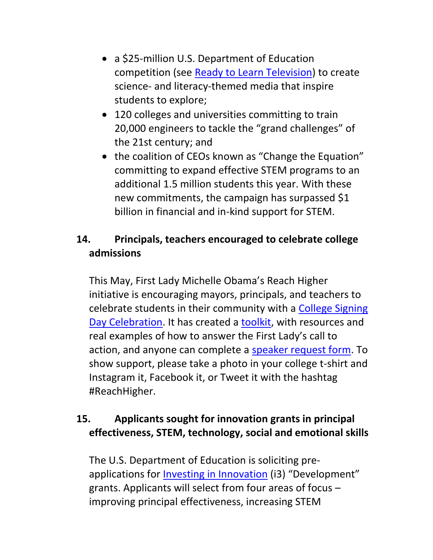- a \$25-million U.S. Department of Education competition (see [Ready to Learn Television\)](http://www2.ed.gov/programs/rtltv/) to create science- and literacy-themed media that inspire students to explore;
- 120 colleges and universities committing to train 20,000 engineers to tackle the "grand challenges" of the 21st century; and
- the coalition of CEOs known as "Change the Equation" committing to expand effective STEM programs to an additional 1.5 million students this year. With these new commitments, the campaign has surpassed \$1 billion in financial and in-kind support for STEM.

## <span id="page-16-0"></span>**14. Principals, teachers encouraged to celebrate college admissions**

This May, First Lady Michelle Obama's Reach Higher initiative is encouraging mayors, principals, and teachers to celebrate students in their community with a College Signing [Day Celebration.](https://www.whitehouse.gov/reach-higher#section-get-involved) It has created a [toolkit,](https://www.whitehouse.gov/sites/default/files/docs/may_1st_signing_day_kit_for_the_public_0.pdf) with resources and real examples of how to answer the First Lady's call to action, and anyone can complete a [speaker request form.](https://www.whitehouse.gov/webform/college-signing-day-speaker-request-form) To show support, please take a photo in your college t-shirt and Instagram it, Facebook it, or Tweet it with the hashtag #ReachHigher.

## <span id="page-16-1"></span>**15. Applicants sought for innovation grants in principal effectiveness, STEM, technology, social and emotional skills**

The U.S. Department of Education is soliciting preapplications for [Investing in Innovation](http://www2.ed.gov/programs/innovation/) (i3) "Development" grants. Applicants will select from four areas of focus – improving principal effectiveness, increasing STEM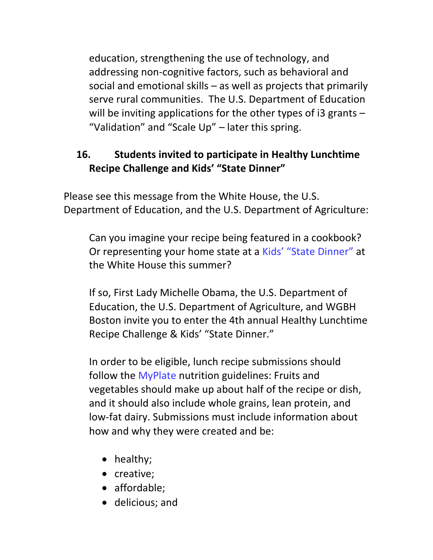education, strengthening the use of technology, and addressing non-cognitive factors, such as behavioral and social and emotional skills – as well as projects that primarily serve rural communities. The U.S. Department of Education will be inviting applications for the other types of  $i3$  grants  $-$ "Validation" and "Scale Up" – later this spring.

# <span id="page-17-0"></span>**16. Students invited to participate in Healthy Lunchtime Recipe Challenge and Kids' "State Dinner"**

Please see this message from the White House, the U.S. Department of Education, and the U.S. Department of Agriculture:

Can you imagine your recipe being featured in a cookbook? Or representing your home state at a [Kids' "State Dinner"](http://www.pbs.org/parents/lunchtimechallenge/kids-state-dinner/) at the White House this summer?

If so, First Lady Michelle Obama, the U.S. Department of Education, the U.S. Department of Agriculture, and WGBH Boston invite you to enter the 4th annual Healthy Lunchtime Recipe Challenge & Kids' "State Dinner."

In order to be eligible, lunch recipe submissions should follow the [MyPlate](http://www.choosemyplate.gov/) nutrition guidelines: Fruits and vegetables should make up about half of the recipe or dish, and it should also include whole grains, lean protein, and low-fat dairy. Submissions must include information about how and why they were created and be:

- healthy;
- creative;
- affordable;
- delicious; and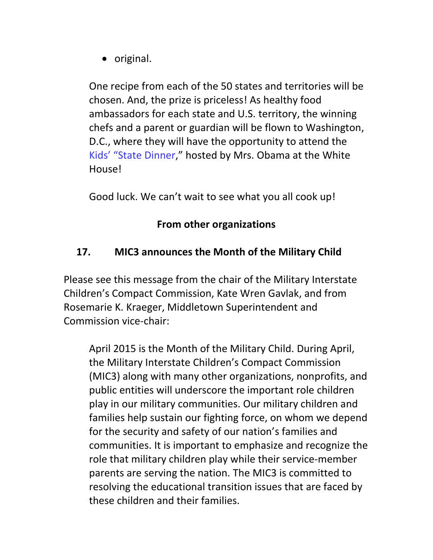• original.

One recipe from each of the 50 states and territories will be chosen. And, the prize is priceless! As healthy food ambassadors for each state and U.S. territory, the winning chefs and a parent or guardian will be flown to Washington, D.C., where they will have the opportunity to attend the [Kids' "State Dinner,](http://www.pbs.org/parents/lunchtimechallenge/kids-state-dinner/)" hosted by Mrs. Obama at the White House!

Good luck. We can't wait to see what you all cook up!

### **From other organizations**

## <span id="page-18-0"></span>**17. MIC3 announces the Month of the Military Child**

Please see this message from the chair of the Military Interstate Children's Compact Commission, Kate Wren Gavlak, and from Rosemarie K. Kraeger, Middletown Superintendent and Commission vice-chair:

<span id="page-18-1"></span>April 2015 is the Month of the Military Child. During April, the Military Interstate Children's Compact Commission (MIC3) along with many other organizations, nonprofits, and public entities will underscore the important role children play in our military communities. Our military children and families help sustain our fighting force, on whom we depend for the security and safety of our nation's families and communities. It is important to emphasize and recognize the role that military children play while their service-member parents are serving the nation. The MIC3 is committed to resolving the educational transition issues that are faced by these children and their families.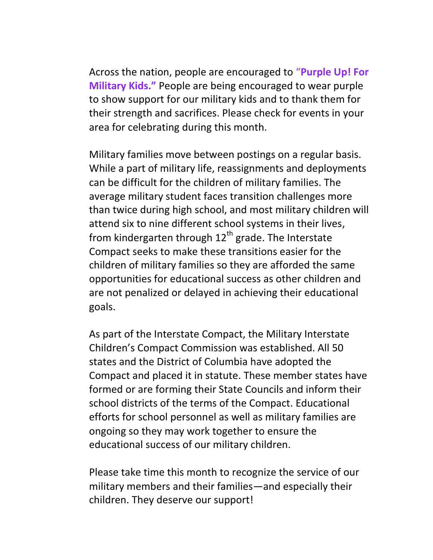Across the nation, people are encouraged to "**Purple Up! For Military Kids."** People are being encouraged to wear purple to show support for our military kids and to thank them for their strength and sacrifices. Please check for events in your area for celebrating during this month.

Military families move between postings on a regular basis. While a part of military life, reassignments and deployments can be difficult for the children of military families. The average military student faces transition challenges more than twice during high school, and most military children will attend six to nine different school systems in their lives, from kindergarten through  $12<sup>th</sup>$  grade. The Interstate Compact seeks to make these transitions easier for the children of military families so they are afforded the same opportunities for educational success as other children and are not penalized or delayed in achieving their educational goals.

As part of the Interstate Compact, the Military Interstate Children's Compact Commission was established. All 50 states and the District of Columbia have adopted the Compact and placed it in statute. These member states have formed or are forming their State Councils and inform their school districts of the terms of the Compact. Educational efforts for school personnel as well as military families are ongoing so they may work together to ensure the educational success of our military children.

Please take time this month to recognize the service of our military members and their families—and especially their children. They deserve our support!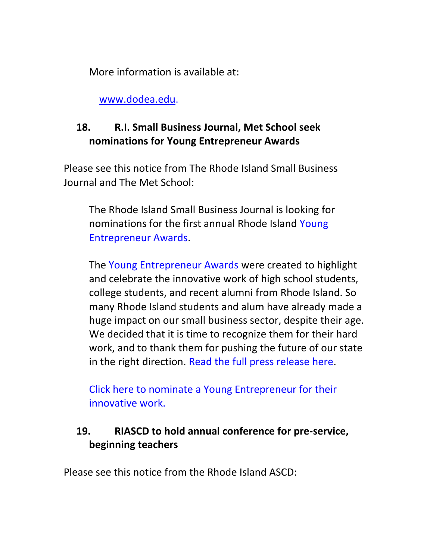More information is available at:

[www.dodea.edu.](http://www.dodea.edu/)

# **18. R.I. Small Business Journal, Met School seek nominations for Young Entrepreneur Awards**

Please see this notice from The Rhode Island Small Business Journal and The Met School:

The Rhode Island Small Business Journal is looking for nominations for the first annual Rhode Island [Young](http://email.robly.com/mpss/c/pQA/LO0UAA/t.1lr/uacYTl69Rx2w0P65ePWOvA/h10/K8dqJM1qzuTjtmdzVJaxfNyc4-2BnUhjyMNDTrvgzTgj-2BN6sXtJ4rJABqU77KldRClQsWkvDRRY2iqgobFALTKuL44146JWbo2y840zuLBjksbxo7e1y0prKo1S6K5-2FA8-2FEwKoKhnLE7y9yA9pInCCm-2BGFK35-2FCfPy9SfeIClyJmk-3D)  [Entrepreneur Awards.](http://email.robly.com/mpss/c/pQA/LO0UAA/t.1lr/uacYTl69Rx2w0P65ePWOvA/h10/K8dqJM1qzuTjtmdzVJaxfNyc4-2BnUhjyMNDTrvgzTgj-2BN6sXtJ4rJABqU77KldRClQsWkvDRRY2iqgobFALTKuL44146JWbo2y840zuLBjksbxo7e1y0prKo1S6K5-2FA8-2FEwKoKhnLE7y9yA9pInCCm-2BGFK35-2FCfPy9SfeIClyJmk-3D)

The [Young Entrepreneur Awards](http://email.robly.com/mpss/c/pQA/LO0UAA/t.1lr/uacYTl69Rx2w0P65ePWOvA/h11/K8dqJM1qzuTjtmdzVJaxfNyc4-2BnUhjyM%20NDTrvgzTgj-2BN6sXtJ4rJABqU77KldRClQsWkvDRRY2iqgobFALTKuL44146JWbo2y840zuLBjksbxo7e1y0prKo1S6K5-2FA8-2FEwKoKhnLE7y9yA9pInCCm-2BGFK35-2FCfPy9SfeIClyJmk-3D) were created to highlight and celebrate the innovative work of high school students, college students, and recent alumni from Rhode Island. So many Rhode Island students and alum have already made a huge impact on our small business sector, despite their age. We decided that it is time to recognize them for their hard work, and to thank them for pushing the future of our state in the right direction. [Read the full press release here.](http://email.robly.com/mpss/c/pQA/LO0UAA/t.1lr/uacYTl69Rx2w0P65ePWOvA/h12/K8dqJM1qzuTjtmdzVJaxfNyc4-2BnUhjyMNDTrvgzTgj-2BN6sXtJ4rJABqU77KldRClQsWkvDRRY2iqgobFALTKuL44146JWbo2y840zuLBjksbxo7e1y0prKo1S6K5-2FA8-2FEwKoKhnLE7y9yA9pInCCm-2BGFK35-2FCfPy9SfeIClyJmk-3D)

[Click here to nominate a Young Entrepreneur for their](http://email.robly.com/mpss/c/pQA/LO0UAA/t.1lr/uacYTl69Rx2w0P65ePWOvA/h13/K8dqJM1qzuTjtmdzVJaxfMqnmvTaORhmB70p51B5eP-2BqmH60tbOm25PT2MoNSibOsOI5f7qHkWfb791a6-2Fgm-2Fw-3D%20-3D)  [innovative work.](http://email.robly.com/mpss/c/pQA/LO0UAA/t.1lr/uacYTl69Rx2w0P65ePWOvA/h13/K8dqJM1qzuTjtmdzVJaxfMqnmvTaORhmB70p51B5eP-2BqmH60tbOm25PT2MoNSibOsOI5f7qHkWfb791a6-2Fgm-2Fw-3D%20-3D)

## <span id="page-20-0"></span>**19. RIASCD to hold annual conference for pre-service, beginning teachers**

Please see this notice from the Rhode Island ASCD: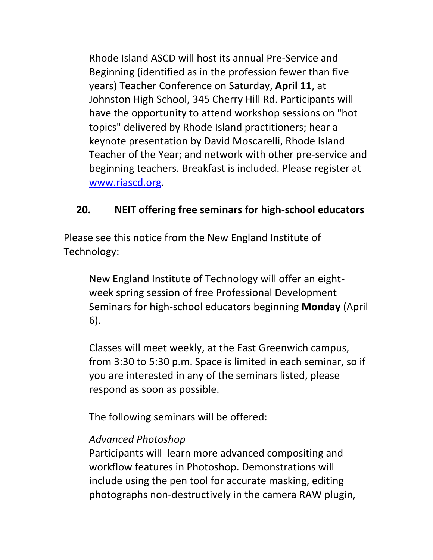Rhode Island ASCD will host its annual Pre-Service and Beginning (identified as in the profession fewer than five years) Teacher Conference on Saturday, **April 11**, at Johnston High School, 345 Cherry Hill Rd. Participants will have the opportunity to attend workshop sessions on "hot topics" delivered by Rhode Island practitioners; hear a keynote presentation by David Moscarelli, Rhode Island Teacher of the Year; and network with other pre-service and beginning teachers. Breakfast is included. Please register at [www.riascd.org.](http://www.riascd.org/)

## <span id="page-21-0"></span>**20. NEIT offering free seminars for high-school educators**

Please see this notice from the New England Institute of Technology:

New England Institute of Technology will offer an eightweek spring session of free Professional Development Seminars for high-school educators beginning **Monday** (April 6).

Classes will meet weekly, at the East Greenwich campus, from 3:30 to 5:30 p.m. Space is limited in each seminar, so if you are interested in any of the seminars listed, please respond as soon as possible.

The following seminars will be offered:

### *Advanced Photoshop*

Participants will learn more advanced compositing and workflow features in Photoshop. Demonstrations will include using the pen tool for accurate masking, editing photographs non-destructively in the camera RAW plugin,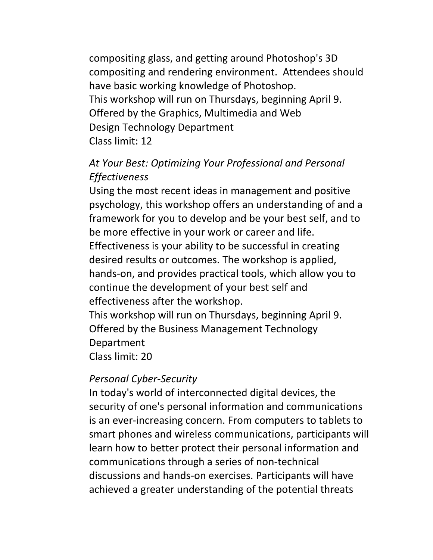compositing glass, and getting around Photoshop's 3D compositing and rendering environment. Attendees should have basic working knowledge of Photoshop. This workshop will run on Thursdays, beginning April 9. Offered by the Graphics, Multimedia and Web Design Technology Department Class limit: 12

## *At Your Best: Optimizing Your Professional and Personal Effectiveness*

Using the most recent ideas in management and positive psychology, this workshop offers an understanding of and a framework for you to develop and be your best self, and to be more effective in your work or career and life. Effectiveness is your ability to be successful in creating desired results or outcomes. The workshop is applied, hands-on, and provides practical tools, which allow you to continue the development of your best self and effectiveness after the workshop.

This workshop will run on Thursdays, beginning April 9. Offered by the Business Management Technology Department Class limit: 20

### *Personal Cyber-Security*

In today's world of interconnected digital devices, the security of one's personal information and communications is an ever-increasing concern. From computers to tablets to smart phones and wireless communications, participants will learn how to better protect their personal information and communications through a series of non-technical discussions and hands-on exercises. Participants will have achieved a greater understanding of the potential threats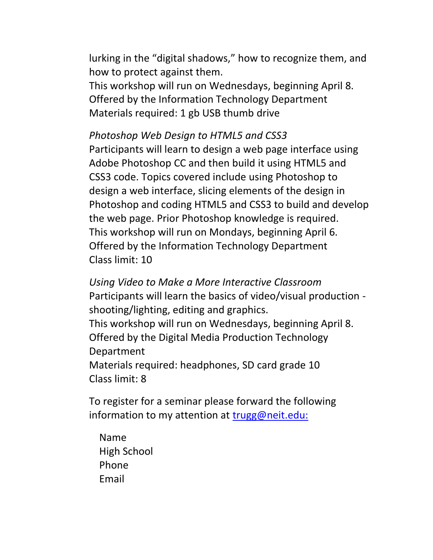lurking in the "digital shadows," how to recognize them, and how to protect against them.

This workshop will run on Wednesdays, beginning April 8. Offered by the Information Technology Department Materials required: 1 gb USB thumb drive

### *Photoshop Web Design to HTML5 and CSS3*

Participants will learn to design a web page interface using Adobe Photoshop CC and then build it using HTML5 and CSS3 code. Topics covered include using Photoshop to design a web interface, slicing elements of the design in Photoshop and coding HTML5 and CSS3 to build and develop the web page. Prior Photoshop knowledge is required. This workshop will run on Mondays, beginning April 6. Offered by the Information Technology Department Class limit: 10

*Using Video to Make a More Interactive Classroom* Participants will learn the basics of video/visual production shooting/lighting, editing and graphics. This workshop will run on Wednesdays, beginning April 8. Offered by the Digital Media Production Technology Department

Materials required: headphones, SD card grade 10 Class limit: 8

To register for a seminar please forward the following information to my attention at [trugg@neit.edu:](mailto:trugg@neit.edu:)

Name High School Phone Email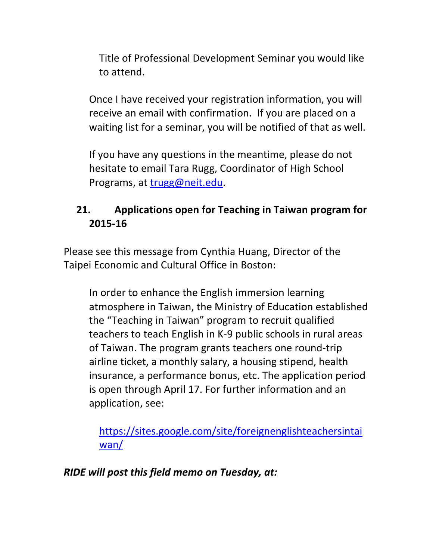Title of Professional Development Seminar you would like to attend.

Once I have received your registration information, you will receive an email with confirmation. If you are placed on a waiting list for a seminar, you will be notified of that as well.

If you have any questions in the meantime, please do not hesitate to email Tara Rugg, Coordinator of High School Programs, at [trugg@neit.edu.](mailto:trugg@neit.edu)

# <span id="page-24-0"></span>**21. Applications open for Teaching in Taiwan program for 2015-16**

Please see this message from Cynthia Huang, Director of the Taipei Economic and Cultural Office in Boston:

In order to enhance the English immersion learning atmosphere in Taiwan, the Ministry of Education established the "Teaching in Taiwan" program to recruit qualified teachers to teach English in K-9 public schools in rural areas of Taiwan. The program grants teachers one round-trip airline ticket, a monthly salary, a housing stipend, health insurance, a performance bonus, etc. The application period is open through April 17. For further information and an application, see:

[https://sites.google.com/site/foreignenglishteachersintai](https://sites.google.com/site/foreignenglishteachersintaiwan/) [wan/](https://sites.google.com/site/foreignenglishteachersintaiwan/)

*RIDE will post this field memo on Tuesday, at:*